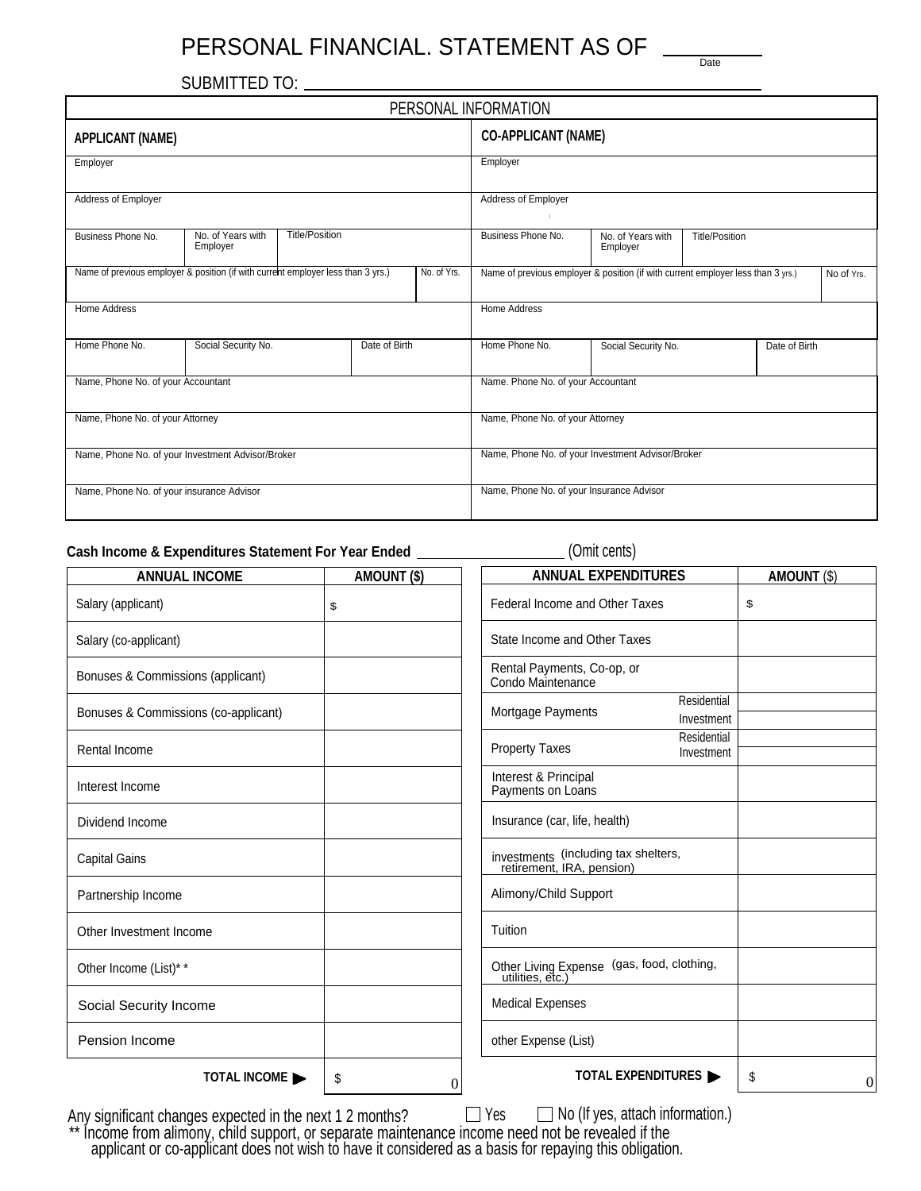# PERSONAL FINANCIAL. STATEMENT AS OF Date

SUBMITTED TO:

|                                                                                  |                               |                       |               | PERSONAL INFORMATION |                                                                                  |                                      |  |  |            |
|----------------------------------------------------------------------------------|-------------------------------|-----------------------|---------------|----------------------|----------------------------------------------------------------------------------|--------------------------------------|--|--|------------|
| <b>APPLICANT (NAME)</b>                                                          |                               |                       |               |                      | <b>CO-APPLICANT (NAME)</b>                                                       |                                      |  |  |            |
| Employer                                                                         |                               |                       |               |                      | Employer                                                                         |                                      |  |  |            |
| Address of Employer                                                              |                               |                       |               |                      | Address of Employer                                                              |                                      |  |  |            |
| Business Phone No.                                                               | No. of Years with<br>Employer | <b>Title/Position</b> |               |                      | Business Phone No.<br>No. of Years with<br><b>Title/Position</b><br>Employer     |                                      |  |  |            |
| Name of previous employer & position (if with current employer less than 3 yrs.) |                               |                       |               | No. of Yrs.          | Name of previous employer & position (if with current employer less than 3 yrs.) |                                      |  |  | No of Yrs. |
| Home Address                                                                     |                               |                       |               |                      | Home Address                                                                     |                                      |  |  |            |
| Home Phone No.                                                                   | Social Security No.           |                       | Date of Birth |                      | Home Phone No.                                                                   | Social Security No.<br>Date of Birth |  |  |            |
| Name, Phone No. of your Accountant                                               |                               |                       |               |                      | Name. Phone No. of your Accountant                                               |                                      |  |  |            |
| Name, Phone No. of your Attorney                                                 |                               |                       |               |                      | Name, Phone No. of your Attorney                                                 |                                      |  |  |            |
| Name, Phone No. of your Investment Advisor/Broker                                |                               |                       |               |                      | Name, Phone No. of your Investment Advisor/Broker                                |                                      |  |  |            |
| Name, Phone No. of your insurance Advisor                                        |                               |                       |               |                      | Name, Phone No. of your Insurance Advisor                                        |                                      |  |  |            |

### Cash Income & Expenditures Statement For Year Ended **Cash Income & Expenditures Statement For Year Ended** (Omit cents)

| <b>ANNUAL INCOME</b>                                     | <b>AMOUNT (\$)</b> | <b>ANNUAL EXPENDITURES</b>                                        | AMOUNT (\$)          |
|----------------------------------------------------------|--------------------|-------------------------------------------------------------------|----------------------|
| Salary (applicant)                                       | \$                 | Federal Income and Other Taxes                                    | \$                   |
| Salary (co-applicant)                                    |                    | State Income and Other Taxes                                      |                      |
| Bonuses & Commissions (applicant)                        |                    | Rental Payments, Co-op, or<br>Condo Maintenance                   |                      |
| Bonuses & Commissions (co-applicant)                     |                    | Residential<br>Mortgage Payments<br>Investment                    |                      |
| Rental Income                                            |                    | Residential<br><b>Property Taxes</b><br>Investment                |                      |
| Interest Income                                          |                    | Interest & Principal<br>Payments on Loans                         |                      |
| Dividend Income                                          |                    | Insurance (car, life, health)                                     |                      |
| <b>Capital Gains</b>                                     |                    | investments (including tax shelters,<br>retirement, IRA, pension) |                      |
| Partnership Income                                       |                    | Alimony/Child Support                                             |                      |
| Other Investment Income                                  |                    | Tuition                                                           |                      |
| Other Income (List)* *                                   |                    | Other Living Expense (gas, food, clothing,<br>utilities, etc.)    |                      |
| Social Security Income                                   |                    | <b>Medical Expenses</b>                                           |                      |
| Pension Income                                           |                    | other Expense (List)                                              |                      |
| TOTAL INCOME                                             | \$<br>$\theta$     | TOTAL EXPENDITURES                                                | \$<br>$\overline{0}$ |
| Any cignificant changes expected in the next 1.2 months? |                    | $\Box$ No (If yes attach information)<br>V≙c                      |                      |

Any significant changes expected in the next 1 2 months?  $\Box$  Yes  $\Box$  No (If yes, attach information.) \*\* Income from alimony, child support, or separate maintenance income need not be revealed if the applicant or co-applicant does not wish to have it considered as a basis for repaying this obligation.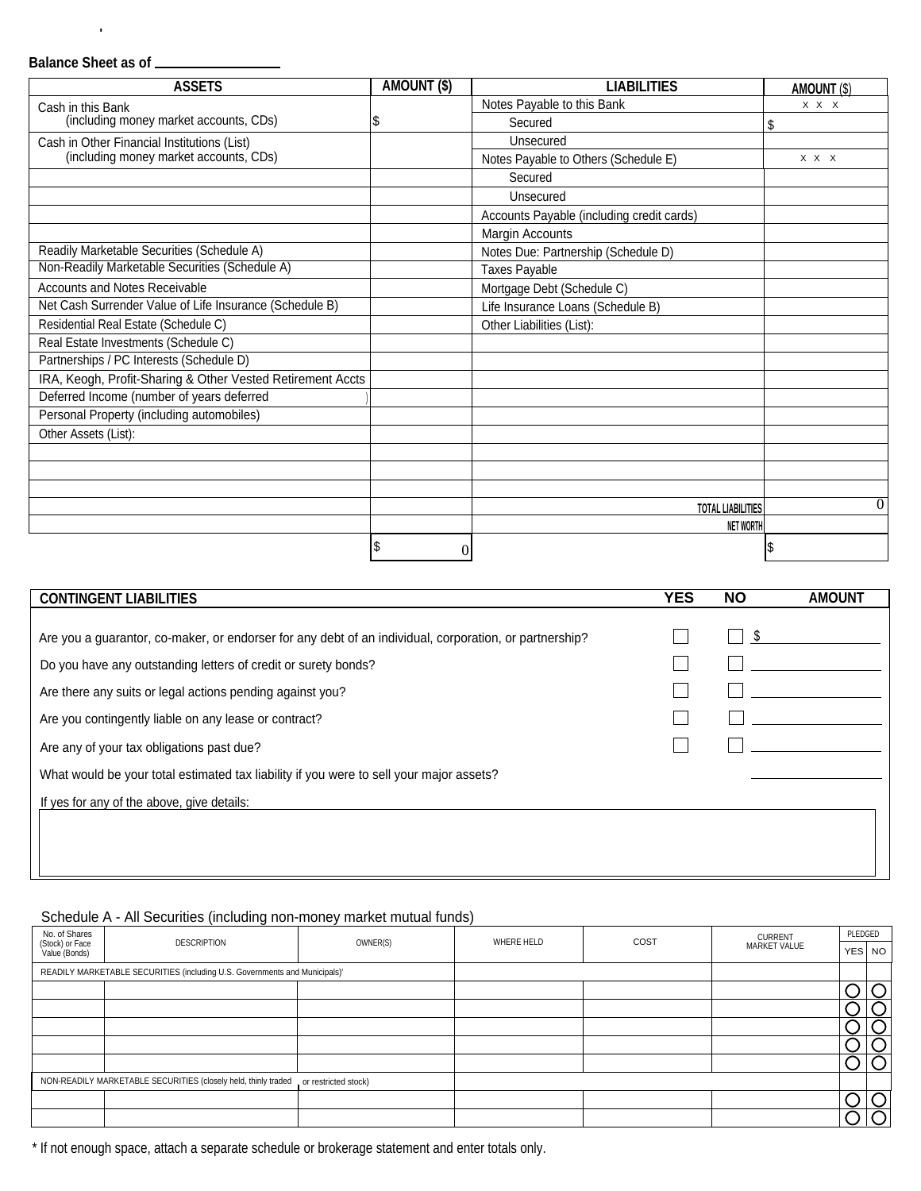## **Balance Sheet as of**

'

| <b>ASSETS</b>                                              | <b>AMOUNT (\$)</b> | <b>LIABILITIES</b>                        | <b>AMOUNT (\$)</b> |
|------------------------------------------------------------|--------------------|-------------------------------------------|--------------------|
| Cash in this Bank                                          |                    | Notes Payable to this Bank                | X X X              |
| (including money market accounts, CDs)                     | 1\$                | Secured                                   | \$                 |
| Cash in Other Financial Institutions (List)                |                    | Unsecured                                 |                    |
| (including money market accounts, CDs)                     |                    | Notes Payable to Others (Schedule E)      | $X$ $X$ $X$        |
|                                                            |                    | Secured                                   |                    |
|                                                            |                    | Unsecured                                 |                    |
|                                                            |                    | Accounts Payable (including credit cards) |                    |
|                                                            |                    | Margin Accounts                           |                    |
| Readily Marketable Securities (Schedule A)                 |                    | Notes Due: Partnership (Schedule D)       |                    |
| Non-Readily Marketable Securities (Schedule A)             |                    | <b>Taxes Payable</b>                      |                    |
| <b>Accounts and Notes Receivable</b>                       |                    | Mortgage Debt (Schedule C)                |                    |
| Net Cash Surrender Value of Life Insurance (Schedule B)    |                    | Life Insurance Loans (Schedule B)         |                    |
| Residential Real Estate (Schedule C)                       |                    | Other Liabilities (List):                 |                    |
| Real Estate Investments (Schedule C)                       |                    |                                           |                    |
| Partnerships / PC Interests (Schedule D)                   |                    |                                           |                    |
| IRA, Keogh, Profit-Sharing & Other Vested Retirement Accts |                    |                                           |                    |
| Deferred Income (number of years deferred                  |                    |                                           |                    |
| Personal Property (including automobiles)                  |                    |                                           |                    |
| Other Assets (List):                                       |                    |                                           |                    |
|                                                            |                    |                                           |                    |
|                                                            |                    |                                           |                    |
|                                                            |                    |                                           |                    |
|                                                            |                    | <b>TOTAL LIABILITIES</b>                  | 0                  |
|                                                            |                    | <b>NET WORTH</b>                          |                    |
|                                                            | S<br>$\theta$      |                                           |                    |

| <b>CONTINGENT LIABILITIES</b>                                                                          | <b>YES</b> | <b>NO</b> | <b>AMOUNT</b> |
|--------------------------------------------------------------------------------------------------------|------------|-----------|---------------|
|                                                                                                        |            |           |               |
| Are you a guarantor, co-maker, or endorser for any debt of an individual, corporation, or partnership? |            |           |               |
| Do you have any outstanding letters of credit or surety bonds?                                         |            |           |               |
| Are there any suits or legal actions pending against you?                                              |            |           |               |
| Are you contingently liable on any lease or contract?                                                  |            |           |               |
| Are any of your tax obligations past due?                                                              |            |           |               |
| What would be your total estimated tax liability if you were to sell your major assets?                |            |           |               |
| If yes for any of the above, give details:                                                             |            |           |               |
|                                                                                                        |            |           |               |
|                                                                                                        |            |           |               |
|                                                                                                        |            |           |               |

#### Schedule A - All Securities (including non-money market mutual funds)

| No. of Shares                    | <b>DESCRIPTION</b>                                                         | OWNER(S)             | WHERE HELD | COST | <b>CURRENT</b><br>MARKET VALUE | PLEDGED |        |
|----------------------------------|----------------------------------------------------------------------------|----------------------|------------|------|--------------------------------|---------|--------|
| (Stock) or Face<br>Value (Bonds) |                                                                            |                      |            |      |                                |         | YES NO |
|                                  | READILY MARKETABLE SECURITIES (including U.S. Governments and Municipals)' |                      |            |      |                                |         |        |
|                                  |                                                                            |                      |            |      |                                |         |        |
|                                  |                                                                            |                      |            |      |                                |         |        |
|                                  |                                                                            |                      |            |      |                                |         |        |
|                                  |                                                                            |                      |            |      |                                |         |        |
|                                  |                                                                            |                      |            |      |                                |         |        |
|                                  | NON-READILY MARKETABLE SECURITIES (closely held, thinly traded             | or restricted stock) |            |      |                                |         |        |
|                                  |                                                                            |                      |            |      |                                |         |        |
|                                  |                                                                            |                      |            |      |                                |         |        |

\* If not enough space, attach a separate schedule or brokerage statement and enter totals only.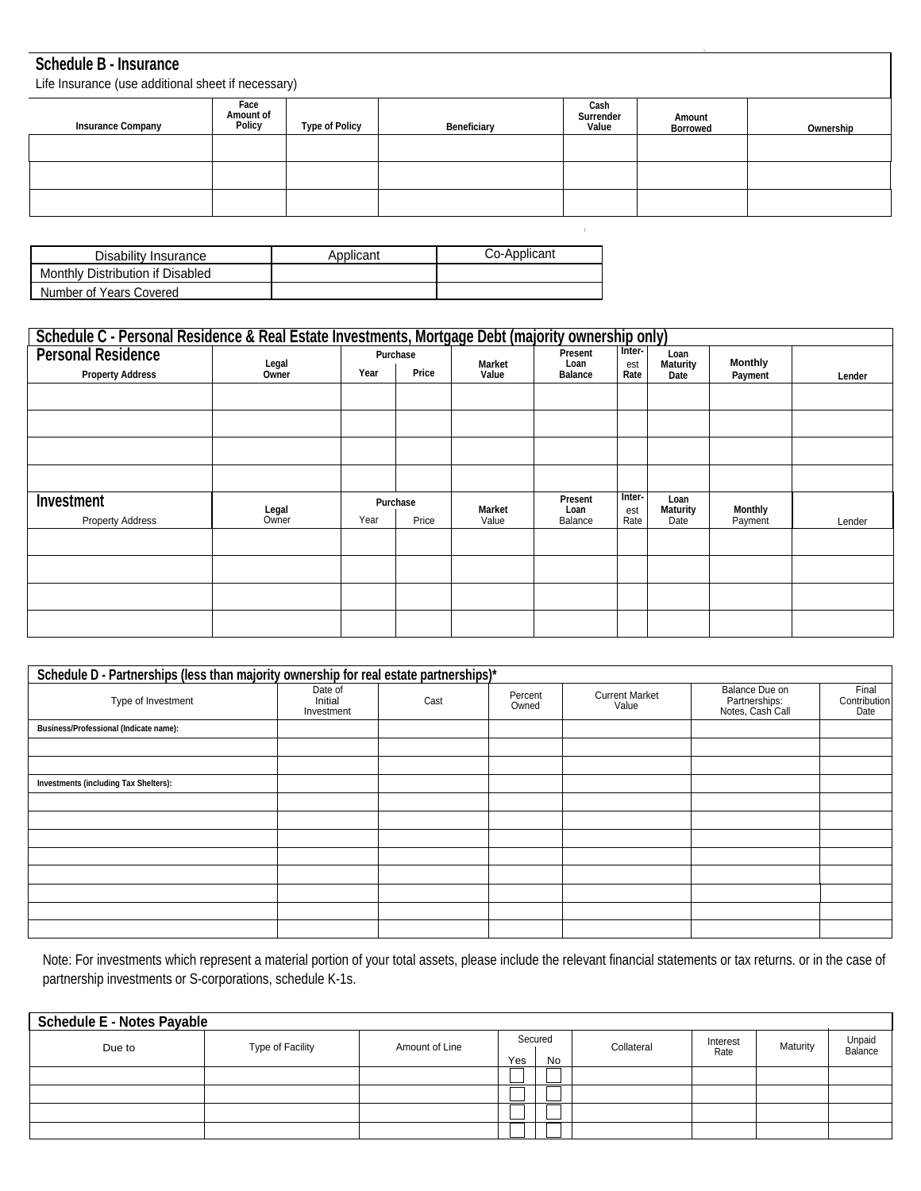#### **Schedule B - Insurance**

Life Insurance (use additional sheet if necessary)

| $\frac{1}{2}$ . The contract of the contract of the contract of the contract of $\frac{1}{2}$ |                             |                       |             |                            |                           |           |  |
|-----------------------------------------------------------------------------------------------|-----------------------------|-----------------------|-------------|----------------------------|---------------------------|-----------|--|
| <b>Insurance Company</b>                                                                      | Face<br>Amount of<br>Policy | <b>Type of Policy</b> | Beneficiary | Cash<br>Surrender<br>Value | Amount<br><b>Borrowed</b> | Ownership |  |
|                                                                                               |                             |                       |             |                            |                           |           |  |
|                                                                                               |                             |                       |             |                            |                           |           |  |
|                                                                                               |                             |                       |             |                            |                           |           |  |

I

| Disability Insurance             | Applicant | Co-Applicant |
|----------------------------------|-----------|--------------|
| Monthly Distribution if Disabled |           |              |
| Number of Years Covered          |           |              |

| Schedule C - Personal Residence & Real Estate Investments, Mortgage Debt (majority ownership only) |                |      |                   |                 |                                   |                       |                                 |                           |        |
|----------------------------------------------------------------------------------------------------|----------------|------|-------------------|-----------------|-----------------------------------|-----------------------|---------------------------------|---------------------------|--------|
| <b>Personal Residence</b><br><b>Property Address</b>                                               | Legal<br>Owner | Year | Purchase<br>Price | Market<br>Value | Present<br>Loan<br><b>Balance</b> | Inter-<br>est<br>Rate | Loan<br><b>Maturity</b><br>Date | <b>Monthly</b><br>Payment | Lender |
|                                                                                                    |                |      |                   |                 |                                   |                       |                                 |                           |        |
|                                                                                                    |                |      |                   |                 |                                   |                       |                                 |                           |        |
|                                                                                                    |                |      |                   |                 |                                   |                       |                                 |                           |        |
|                                                                                                    |                |      |                   |                 |                                   |                       |                                 |                           |        |
| Investment<br><b>Property Address</b>                                                              | Legal<br>Owner | Year | Purchase<br>Price | Market<br>Value | Present<br>Loan<br>Balance        | Inter-<br>est<br>Rate | Loan<br><b>Maturity</b><br>Date | <b>Monthly</b><br>Payment | Lender |
|                                                                                                    |                |      |                   |                 |                                   |                       |                                 |                           |        |
|                                                                                                    |                |      |                   |                 |                                   |                       |                                 |                           |        |
|                                                                                                    |                |      |                   |                 |                                   |                       |                                 |                           |        |
|                                                                                                    |                |      |                   |                 |                                   |                       |                                 |                           |        |

| Schedule D - Partnerships (less than majority ownership for real estate partnerships)* |                                  |      |                  |                                |                                                     |                               |
|----------------------------------------------------------------------------------------|----------------------------------|------|------------------|--------------------------------|-----------------------------------------------------|-------------------------------|
| Type of Investment                                                                     | Date of<br>Initial<br>Investment | Cast | Percent<br>Owned | <b>Current Market</b><br>Value | Balance Due on<br>Partnerships:<br>Notes, Cash Call | Final<br>Contribution<br>Date |
| Business/Professional (Indicate name):                                                 |                                  |      |                  |                                |                                                     |                               |
|                                                                                        |                                  |      |                  |                                |                                                     |                               |
|                                                                                        |                                  |      |                  |                                |                                                     |                               |
| <b>Investments (including Tax Shelters):</b>                                           |                                  |      |                  |                                |                                                     |                               |
|                                                                                        |                                  |      |                  |                                |                                                     |                               |
|                                                                                        |                                  |      |                  |                                |                                                     |                               |
|                                                                                        |                                  |      |                  |                                |                                                     |                               |
|                                                                                        |                                  |      |                  |                                |                                                     |                               |
|                                                                                        |                                  |      |                  |                                |                                                     |                               |
|                                                                                        |                                  |      |                  |                                |                                                     |                               |
|                                                                                        |                                  |      |                  |                                |                                                     |                               |
|                                                                                        |                                  |      |                  |                                |                                                     |                               |

Note: For investments which represent a material portion of your total assets, please include the relevant financial statements or tax returns. or in the case of partnership investments or S-corporations, schedule K-1s.

| <b>Schedule E - Notes Payable</b> |                  |                |         |    |            |                  |          |                   |
|-----------------------------------|------------------|----------------|---------|----|------------|------------------|----------|-------------------|
| Due to                            | Type of Facility | Amount of Line | Secured |    | Collateral | Interest<br>Rate | Maturity | Unpaid<br>Balance |
|                                   |                  |                | Yes     | No |            |                  |          |                   |
|                                   |                  |                |         |    |            |                  |          |                   |
|                                   |                  |                |         |    |            |                  |          |                   |
|                                   |                  |                |         |    |            |                  |          |                   |
|                                   |                  |                |         |    |            |                  |          |                   |